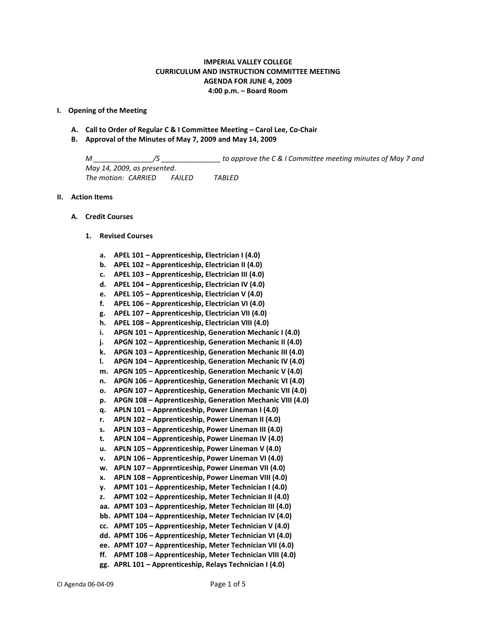## **IMPERIAL VALLEY COLLEGE CURRICULUM AND INSTRUCTION COMMITTEE MEETING AGENDA FOR JUNE 4, 2009 4:00 p.m. – Board Room**

### **I. Opening of the Meeting**

- **A. Call to Order of Regular C & I Committee Meeting – Carol Lee, Co-Chair**
- **B. Approval of the Minutes of May 7, 2009 and May 14, 2009**

*M \_\_\_\_\_\_\_\_\_\_\_\_\_\_\_/S \_\_\_\_\_\_\_\_\_\_\_\_\_\_\_ to approve the C & I Committee meeting minutes of May 7 and May 14, 2009, as presented. The motion: CARRIED FAILED TABLED*

#### **II. Action Items**

### **A. Credit Courses**

#### **1. Revised Courses**

- **a. APEL 101 – Apprenticeship, Electrician I (4.0)**
- **b. APEL 102 – Apprenticeship, Electrician II (4.0)**
- **c. APEL 103 – Apprenticeship, Electrician III (4.0)**
- **d. APEL 104 – Apprenticeship, Electrician IV (4.0)**
- **e. APEL 105 – Apprenticeship, Electrician V (4.0)**
- **f. APEL 106 – Apprenticeship, Electrician VI (4.0)**
- **g. APEL 107 – Apprenticeship, Electrician VII (4.0)**
- **h. APEL 108 – Apprenticeship, Electrician VIII (4.0)**
- **i. APGN 101 – Apprenticeship, Generation Mechanic I (4.0)**
- **j. APGN 102 – Apprenticeship, Generation Mechanic II (4.0)**
- **k. APGN 103 – Apprenticeship, Generation Mechanic III (4.0)**
- **l. APGN 104 – Apprenticeship, Generation Mechanic IV (4.0)**
- **m. APGN 105 – Apprenticeship, Generation Mechanic V (4.0)**
- **n. APGN 106 – Apprenticeship, Generation Mechanic VI (4.0)**
- **o. APGN 107 – Apprenticeship, Generation Mechanic VII (4.0)**
- **p. APGN 108 – Apprenticeship, Generation Mechanic VIII (4.0)**
- **q. APLN 101 – Apprenticeship, Power Lineman I (4.0)**
- **r. APLN 102 – Apprenticeship, Power Lineman II (4.0)**
- **s. APLN 103 – Apprenticeship, Power Lineman III (4.0)**
- **t. APLN 104 – Apprenticeship, Power Lineman IV (4.0)**
- **u. APLN 105 – Apprenticeship, Power Lineman V (4.0)**
- **v. APLN 106 – Apprenticeship, Power Lineman VI (4.0)**
- **w. APLN 107 – Apprenticeship, Power Lineman VII (4.0)**
- **x. APLN 108 – Apprenticeship, Power Lineman VIII (4.0)**
- **y. APMT 101 – Apprenticeship, Meter Technician I (4.0)**
- **z. APMT 102 – Apprenticeship, Meter Technician II (4.0)**
- **aa. APMT 103 – Apprenticeship, Meter Technician III (4.0)**
- **bb. APMT 104 – Apprenticeship, Meter Technician IV (4.0)**
- **cc. APMT 105 – Apprenticeship, Meter Technician V (4.0)**
- **dd. APMT 106 – Apprenticeship, Meter Technician VI (4.0)**
- **ee. APMT 107 – Apprenticeship, Meter Technician VII (4.0)**
- **ff. APMT 108 – Apprenticeship, Meter Technician VIII (4.0)**
- **gg. APRL 101 – Apprenticeship, Relays Technician I (4.0)**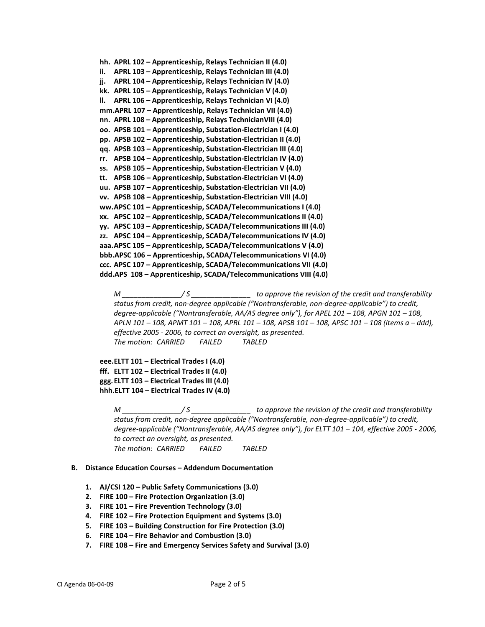```
hh. APRL 102 – Apprenticeship, Relays Technician II (4.0)
ii. APRL 103 – Apprenticeship, Relays Technician III (4.0)
jj. APRL 104 – Apprenticeship, Relays Technician IV (4.0)
kk. APRL 105 – Apprenticeship, Relays Technician V (4.0)
ll. APRL 106 – Apprenticeship, Relays Technician VI (4.0)
mm.APRL 107 – Apprenticeship, Relays Technician VII (4.0)
nn. APRL 108 – Apprenticeship, Relays TechnicianVIII (4.0)
oo. APSB 101 – Apprenticeship, Substation-Electrician I (4.0)
pp. APSB 102 – Apprenticeship, Substation-Electrician II (4.0)
qq. APSB 103 – Apprenticeship, Substation-Electrician III (4.0)
rr. APSB 104 – Apprenticeship, Substation-Electrician IV (4.0)
ss. APSB 105 – Apprenticeship, Substation-Electrician V (4.0)
tt. APSB 106 – Apprenticeship, Substation-Electrician VI (4.0)
uu. APSB 107 – Apprenticeship, Substation-Electrician VII (4.0)
vv. APSB 108 – Apprenticeship, Substation-Electrician VIII (4.0)
ww.APSC 101 – Apprenticeship, SCADA/Telecommunications I (4.0)
xx. APSC 102 – Apprenticeship, SCADA/Telecommunications II (4.0)
yy. APSC 103 – Apprenticeship, SCADA/Telecommunications III (4.0)
zz. APSC 104 – Apprenticeship, SCADA/Telecommunications IV (4.0)
aaa.APSC 105 – Apprenticeship, SCADA/Telecommunications V (4.0)
bbb.APSC 106 – Apprenticeship, SCADA/Telecommunications VI (4.0)
ccc. APSC 107 – Apprenticeship, SCADA/Telecommunications VII (4.0)
ddd.APS 108 – Apprenticeship, SCADA/Telecommunications VIII (4.0)
```
*M \_\_\_\_\_\_\_\_\_\_\_\_\_\_\_/ S \_\_\_\_\_\_\_\_\_\_\_\_\_\_\_ to approve the revision of the credit and transferability status from credit, non-degree applicable ("Nontransferable, non-degree-applicable") to credit, degree-applicable ("Nontransferable, AA/AS degree only"), for APEL 101 – 108, APGN 101 – 108, APLN 101 – 108, APMT 101 – 108, APRL 101 – 108, APSB 101 – 108, APSC 101 – 108 (items a – ddd), effective 2005 - 2006, to correct an oversight, as presented. The motion: CARRIED FAILED TABLED*

```
eee.ELTT 101 – Electrical Trades I (4.0)
fff. ELTT 102 – Electrical Trades II (4.0)
ggg.ELTT 103 – Electrical Trades III (4.0)
hhh.ELTT 104 – Electrical Trades IV (4.0)
```
*M \_\_\_\_\_\_\_\_\_\_\_\_\_\_\_/ S \_\_\_\_\_\_\_\_\_\_\_\_\_\_\_ to approve the revision of the credit and transferability status from credit, non-degree applicable ("Nontransferable, non-degree-applicable") to credit, degree-applicable ("Nontransferable, AA/AS degree only"), for ELTT 101 – 104, effective 2005 - 2006, to correct an oversight, as presented. The motion: CARRIED FAILED TABLED*

### **B. Distance Education Courses – Addendum Documentation**

- **1. AJ/CSI 120 – Public Safety Communications (3.0)**
- **2. FIRE 100 – Fire Protection Organization (3.0)**
- **3. FIRE 101 – Fire Prevention Technology (3.0)**
- **4. FIRE 102 – Fire Protection Equipment and Systems (3.0)**
- **5. FIRE 103 – Building Construction for Fire Protection (3.0)**
- **6. FIRE 104 – Fire Behavior and Combustion (3.0)**
- **7. FIRE 108 – Fire and Emergency Services Safety and Survival (3.0)**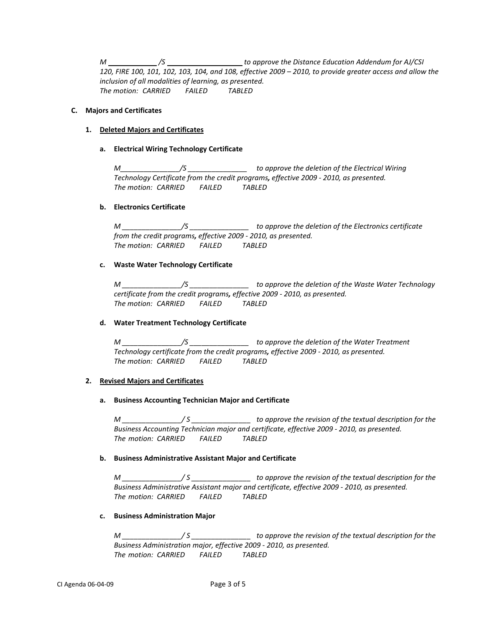*M /S to approve the Distance Education Addendum for AJ/CSI 120, FIRE 100, 101, 102, 103, 104, and 108, effective 2009 – 2010, to provide greater access and allow the inclusion of all modalities of learning, as presented. The motion: CARRIED FAILED TABLED*

## **C. Majors and Certificates**

## **1. Deleted Majors and Certificates**

## **a. Electrical Wiring Technology Certificate**

*M\_\_\_\_\_\_\_\_\_\_\_\_\_\_\_/S \_\_\_\_\_\_\_\_\_\_\_\_\_\_\_ to approve the deletion of the Electrical Wiring Technology Certificate from the credit programs, effective 2009 - 2010, as presented. The motion: CARRIED FAILED TABLED*

## **b. Electronics Certificate**

*M \_\_\_\_\_\_\_\_\_\_\_\_\_\_\_/S \_\_\_\_\_\_\_\_\_\_\_\_\_\_\_ to approve the deletion of the Electronics certificate from the credit programs, effective 2009 - 2010, as presented. The motion: CARRIED FAILED TABLED*

## **c. Waste Water Technology Certificate**

*M \_\_\_\_\_\_\_\_\_\_\_\_\_\_\_/S \_\_\_\_\_\_\_\_\_\_\_\_\_\_\_ to approve the deletion of the Waste Water Technology certificate from the credit programs, effective 2009 - 2010, as presented. The motion: CARRIED FAILED TABLED*

### **d. Water Treatment Technology Certificate**

*M \_\_\_\_\_\_\_\_\_\_\_\_\_\_\_/S \_\_\_\_\_\_\_\_\_\_\_\_\_\_\_ to approve the deletion of the Water Treatment Technology certificate from the credit programs, effective 2009 - 2010, as presented. The motion: CARRIED FAILED TABLED*

# **2. Revised Majors and Certificates**

## **a. Business Accounting Technician Major and Certificate**

*M \_\_\_\_\_\_\_\_\_\_\_\_\_\_\_/ S \_\_\_\_\_\_\_\_\_\_\_\_\_\_\_ to approve the revision of the textual description for the Business Accounting Technician major and certificate, effective 2009 - 2010, as presented. The motion: CARRIED FAILED TABLED*

# **b. Business Administrative Assistant Major and Certificate**

*M \_\_\_\_\_\_\_\_\_\_\_\_\_\_\_/ S \_\_\_\_\_\_\_\_\_\_\_\_\_\_\_ to approve the revision of the textual description for the Business Administrative Assistant major and certificate, effective 2009 - 2010, as presented. The motion: CARRIED FAILED TABLED*

### **c. Business Administration Major**

*M \_\_\_\_\_\_\_\_\_\_\_\_\_\_\_/ S \_\_\_\_\_\_\_\_\_\_\_\_\_\_\_ to approve the revision of the textual description for the Business Administration major, effective 2009 - 2010, as presented. The motion: CARRIED FAILED TABLED*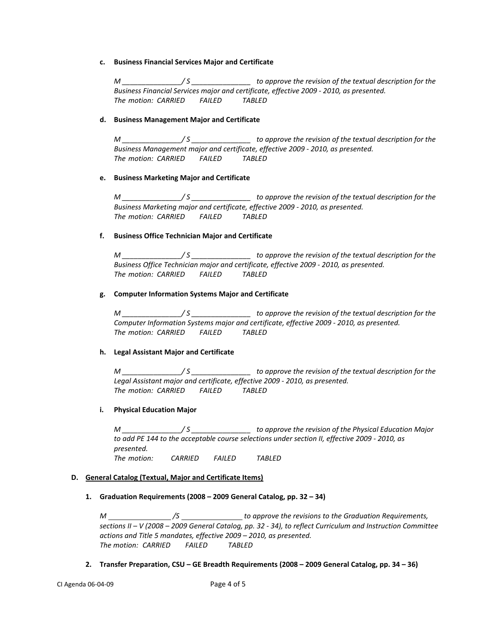### **c. Business Financial Services Major and Certificate**

*M \_\_\_\_\_\_\_\_\_\_\_\_\_\_\_/ S \_\_\_\_\_\_\_\_\_\_\_\_\_\_\_ to approve the revision of the textual description for the Business Financial Services major and certificate, effective 2009 - 2010, as presented. The motion: CARRIED FAILED TABLED*

# **d. Business Management Major and Certificate**

*M \_\_\_\_\_\_\_\_\_\_\_\_\_\_\_/ S \_\_\_\_\_\_\_\_\_\_\_\_\_\_\_ to approve the revision of the textual description for the Business Management major and certificate, effective 2009 - 2010, as presented. The motion: CARRIED FAILED TABLED*

## **e. Business Marketing Major and Certificate**

*M \_\_\_\_\_\_\_\_\_\_\_\_\_\_\_/ S \_\_\_\_\_\_\_\_\_\_\_\_\_\_\_ to approve the revision of the textual description for the Business Marketing major and certificate, effective 2009 - 2010, as presented. The motion: CARRIED FAILED TABLED*

## **f. Business Office Technician Major and Certificate**

*M \_\_\_\_\_\_\_\_\_\_\_\_\_\_\_/ S \_\_\_\_\_\_\_\_\_\_\_\_\_\_\_ to approve the revision of the textual description for the Business Office Technician major and certificate, effective 2009 - 2010, as presented. The motion: CARRIED FAILED TABLED*

## **g. Computer Information Systems Major and Certificate**

*M \_\_\_\_\_\_\_\_\_\_\_\_\_\_\_/ S \_\_\_\_\_\_\_\_\_\_\_\_\_\_\_ to approve the revision of the textual description for the Computer Information Systems major and certificate, effective 2009 - 2010, as presented. The motion: CARRIED FAILED TABLED*

# **h. Legal Assistant Major and Certificate**

*M \_\_\_\_\_\_\_\_\_\_\_\_\_\_\_/ S \_\_\_\_\_\_\_\_\_\_\_\_\_\_\_ to approve the revision of the textual description for the Legal Assistant major and certificate, effective 2009 - 2010, as presented. The motion: CARRIED FAILED TABLED*

# **i. Physical Education Major**

*M \_\_\_\_\_\_\_\_\_\_\_\_\_\_\_/ S \_\_\_\_\_\_\_\_\_\_\_\_\_\_\_ to approve the revision of the Physical Education Major to add PE 144 to the acceptable course selections under section II, effective 2009 - 2010, as presented. The motion: CARRIED FAILED TABLED*

### **D. General Catalog (Textual, Major and Certificate Items)**

**1. Graduation Requirements (2008 – 2009 General Catalog, pp. 32 – 34)**

*M /S to approve the revisions to the Graduation Requirements, sections II – V (2008 – 2009 General Catalog, pp. 32 - 34), to reflect Curriculum and Instruction Committee actions and Title 5 mandates, effective 2009 – 2010, as presented. The motion: CARRIED FAILED TABLED*

**2. Transfer Preparation, CSU – GE Breadth Requirements (2008 – 2009 General Catalog, pp. 34 – 36)**